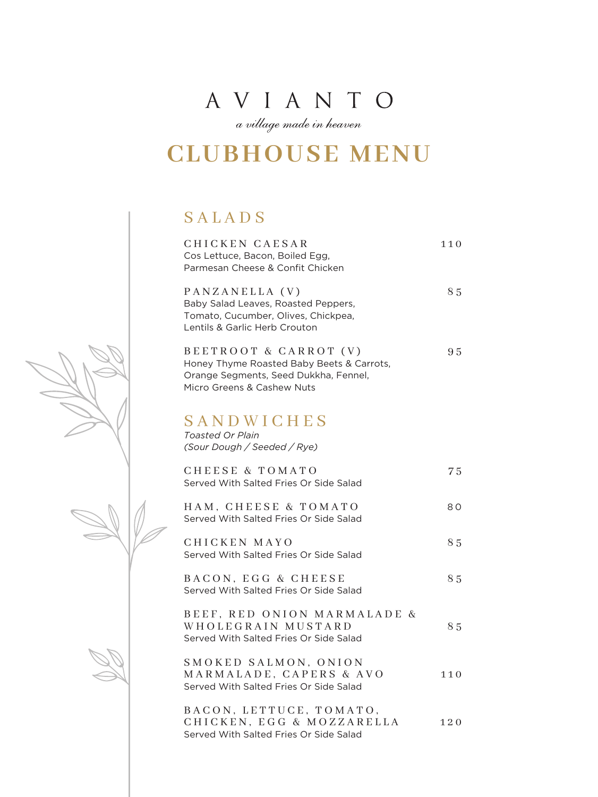a village made in heaven

## **CLUBHOUSE MENU**

#### SALADS

| CHICKEN CAESAR<br>Cos Lettuce, Bacon, Boiled Egg,<br>Parmesan Cheese & Confit Chicken                                                     | 110 |
|-------------------------------------------------------------------------------------------------------------------------------------------|-----|
| PANZANELLA (V)<br>Baby Salad Leaves, Roasted Peppers,<br>Tomato, Cucumber, Olives, Chickpea,<br>Lentils & Garlic Herb Crouton             | 85  |
| BEETROOT & CARROT (V)<br>Honey Thyme Roasted Baby Beets & Carrots,<br>Orange Segments, Seed Dukkha, Fennel,<br>Micro Greens & Cashew Nuts | 95  |
| SANDWICHES<br><b>Toasted Or Plain</b><br>(Sour Dough / Seeded / Rye)                                                                      |     |
| <b>CHEESE &amp; TOMATO</b><br>Served With Salted Fries Or Side Salad                                                                      | 75  |
| HAM, CHEESE & TOMATO<br>Served With Salted Fries Or Side Salad                                                                            | 80  |
| CHICKEN MAYO<br>Served With Salted Fries Or Side Salad                                                                                    | 85  |
| BACON. EGG & CHEESE<br>Served With Salted Fries Or Side Salad                                                                             | 85  |
| BEEF, RED ONION MARMALADE &<br>WHOLEGRAIN MUSTARD<br>Served With Salted Fries Or Side Salad                                               | 85  |
| SMOKED SALMON, ONION<br>MARMALADE, CAPERS & AVO<br>Served With Salted Fries Or Side Salad                                                 | 110 |
| BACON, LETTUCE, TOMATO,<br>CHICKEN, EGG & MOZZARELLA<br>Served With Salted Fries Or Side Salad                                            | 120 |

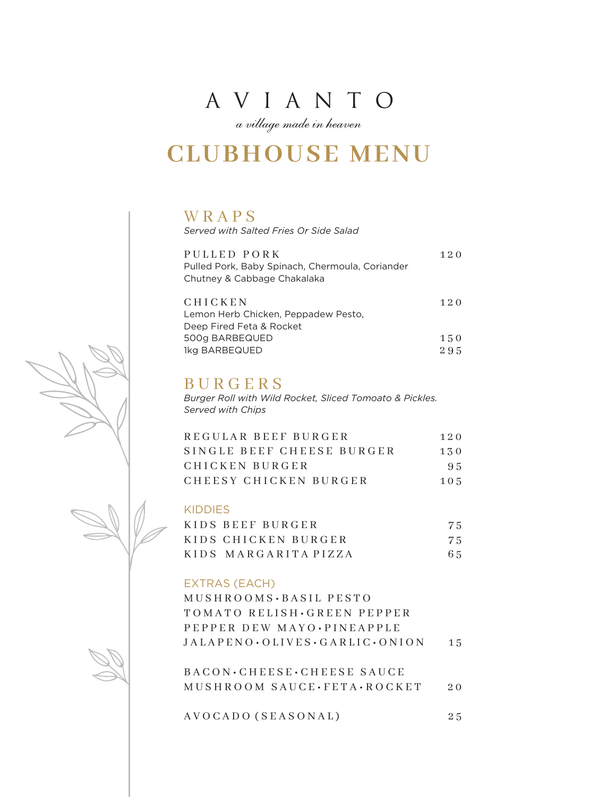a village made in heaven

## **CLUBHOUSE MENU**

#### WRAPS

*Served with Salted Fries Or Side Salad*

| PULLED PORK                                     | 120 |
|-------------------------------------------------|-----|
| Pulled Pork, Baby Spinach, Chermoula, Coriander |     |
| Chutney & Cabbage Chakalaka                     |     |
|                                                 |     |
| <b>CHICKEN</b>                                  | 120 |
| Lemon Herb Chicken, Peppadew Pesto,             |     |
| Deep Fired Feta & Rocket                        |     |
| 500g BARBEQUED                                  | 150 |
| 1kg BARBEQUED                                   | 295 |

#### BURGERS

*Burger Roll with Wild Rocket, Sliced Tomoato & Pickles. Served with Chips*

| REGULAR BEEF BURGER       | 120 |
|---------------------------|-----|
| SINGLE BEEF CHEESE BURGER | 130 |
| CHICKEN BURGER            | 95  |
| CHEESY CHICKEN BURGER     | 105 |

#### KIDDIES

| KIDS BEEF BURGER     | 75 |
|----------------------|----|
| KIDS CHICKEN BURGER  | 75 |
| KIDS MARGARITA PIZZA | 65 |

#### EXTRAS (EACH)

M U S H R O O M S • B A S I L P E S T O TOMATO RELISH · GREEN PEPPER P E P P E R D E W M A Y O • P I N E A P P L E  $JALAPENO \cdot OLIVES \cdot GARLIC \cdot ONION$  15

BACON • CHEESE • CHEESE SAUCE MUSHROOM SAUCE · FETA · ROCKET 20

A V O C A D O ( S E A S O N A L ) 25

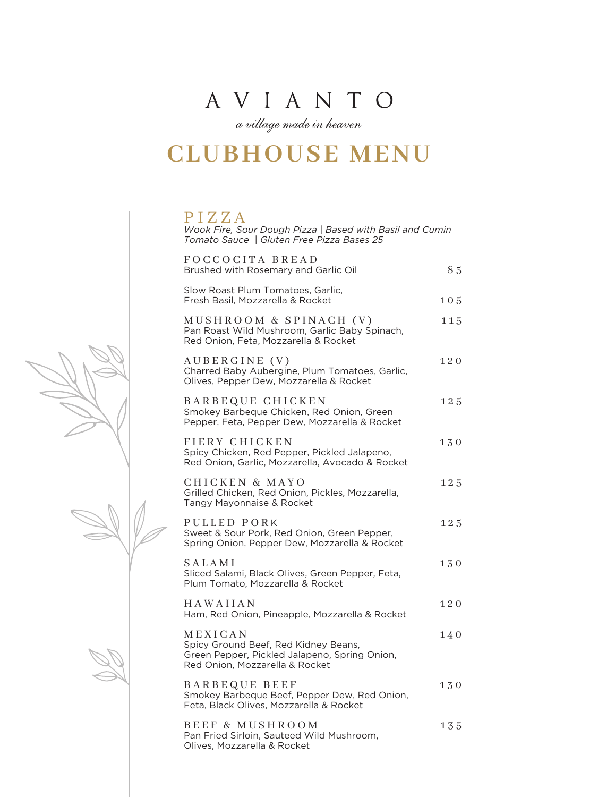a village made in heaven

## **CLUBHOUSE MENU**

PIZZA *Wook Fire, Sour Dough Pizza | Based with Basil and Cumin Tomato Sauce | Gluten Free Pizza Bases 25*

| FOCCOCITA BREAD<br>Brushed with Rosemary and Garlic Oil                                                                            | 85        |
|------------------------------------------------------------------------------------------------------------------------------------|-----------|
|                                                                                                                                    |           |
| Slow Roast Plum Tomatoes, Garlic,<br>Fresh Basil, Mozzarella & Rocket                                                              | 105       |
| MUSHROOM & SPINACH (V)<br>Pan Roast Wild Mushroom, Garlic Baby Spinach,<br>Red Onion, Feta, Mozzarella & Rocket                    | 115       |
| AUBERGINE (V)<br>Charred Baby Aubergine, Plum Tomatoes, Garlic,<br>Olives, Pepper Dew, Mozzarella & Rocket                         | 120       |
| BARBEQUE CHICKEN<br>Smokey Barbeque Chicken, Red Onion, Green<br>Pepper, Feta, Pepper Dew, Mozzarella & Rocket                     | 125       |
| FIERY CHICKEN<br>Spicy Chicken, Red Pepper, Pickled Jalapeno,<br>Red Onion, Garlic, Mozzarella, Avocado & Rocket                   | 130       |
| CHICKEN & MAYO<br>Grilled Chicken, Red Onion, Pickles, Mozzarella,<br>Tangy Mayonnaise & Rocket                                    | 125       |
| PULLED PORK<br>Sweet & Sour Pork, Red Onion, Green Pepper,<br>Spring Onion, Pepper Dew, Mozzarella & Rocket                        | 125       |
| SALAMI<br>Sliced Salami, Black Olives, Green Pepper, Feta,<br>Plum Tomato, Mozzarella & Rocket                                     | $1\,3\,0$ |
| HAWAIIAN<br>Ham, Red Onion, Pineapple, Mozzarella & Rocket                                                                         | 120       |
| MEXICAN<br>Spicy Ground Beef, Red Kidney Beans,<br>Green Pepper, Pickled Jalapeno, Spring Onion,<br>Red Onion, Mozzarella & Rocket | 140       |
| <b>BARBEQUE BEEF</b><br>Smokey Barbeque Beef, Pepper Dew, Red Onion,<br>Feta, Black Olives, Mozzarella & Rocket                    | 130       |
| BEEF & MUSHROOM<br>Pan Fried Sirloin, Sauteed Wild Mushroom,<br>Olives, Mozzarella & Rocket                                        | 135       |